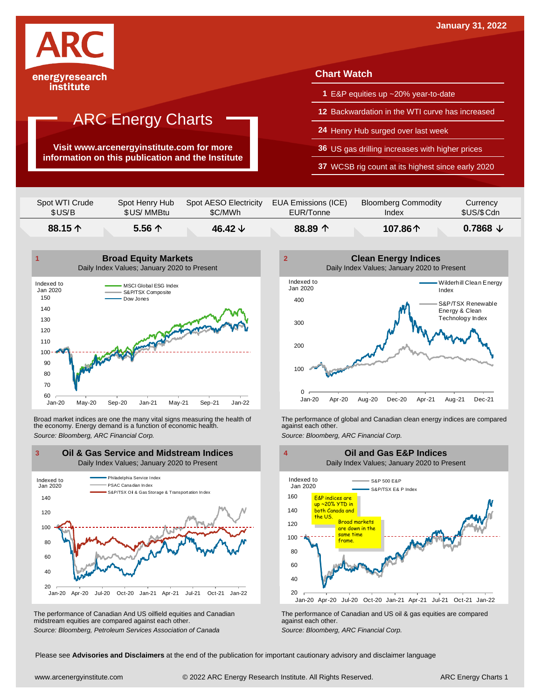

### ARC Energy Charts

**Visit www.arcenergyinstitute.com for more information on this publication and the Institute**

#### **Chart Watch**

- **1** E&P equities up ~20% year-to-date
- **12** Backwardation in the WTI curve has increased
- **24** Henry Hub surged over last week
- **36** US gas drilling increases with higher prices

**37** WCSB rig count at its highest since early 2020

| 88.15 个        | $5.56 \uparrow$ | 46.42 $\downarrow$    | 88.89 $\uparrow$    | 107.86个                    | $0.7868 \downarrow$ |
|----------------|-----------------|-----------------------|---------------------|----------------------------|---------------------|
| Spot WTI Crude | Spot Henry Hub  | Spot AESO Electricity | EUA Emissions (ICE) | <b>Bloomberg Commodity</b> | Currency            |
| \$US/B         | \$US/ MMBtu     | \$C/MWh               | EUR/Tonne           | Index                      | \$US/\$Cdn          |



Broad market indices are one the many vital signs measuring the health of the economy. Energy demand is a function of economic health. Broad market indices are one the many vital signs measuring the health of The performance of global and Canadian clean energy indices are compared<br>the economy. Energy demand is a function of economic health.<br>Source: Bloomb



The performance of Canadian And US oilfield equities and Canadian midstream equities are compared against each other. *Source: Bloomberg, Petroleum Services Association of Canada* The performance of Canadian and US oil & gas equities are compared against each other. *Source: Bloomberg, ARC Financial Corp.*





Please see **Advisories and Disclaimers** at the end of the publication for important cautionary advisory and disclaimer language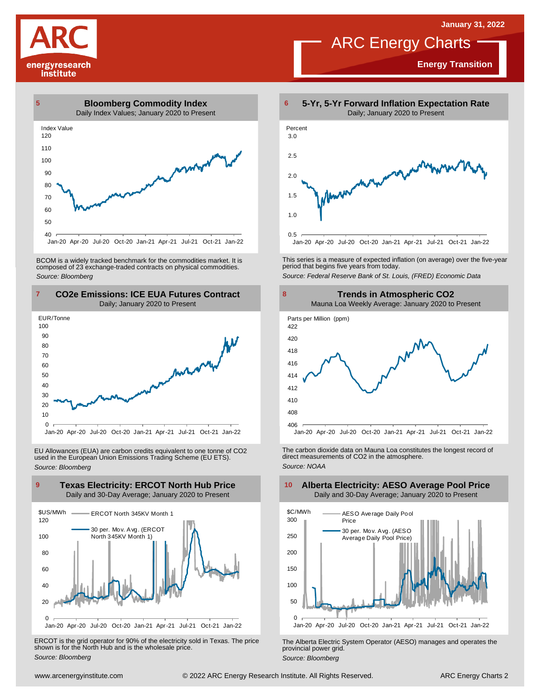# energyresearch institute

### ARC Energy Charts

**Energy Transition**



BCOM is <sup>a</sup> widely tracked benchmark for the commodities market. It is composed of <sup>23</sup> exchange-traded contracts on physical commodities. *Source: Bloomberg*





EU Allowances (EUA) are carbon credits equivalent to one tonne of CO2 used in the European Union Emissions Trading Scheme (EU ETS). *Source: Bloomberg*



ERCOT is the grid operator for 90% of the electricity sold in Texas. The price shown is for the North Hub and is the wholesale price. *Source: Bloomberg*



This series is <sup>a</sup> measure of expected inflation (on average) over the five-year period that begins five years from today. *Source: Federal Reserve Bank of St. Louis, (FRED) Economic Data*



The carbon dioxide data on Mauna Loa constitutes the longest record of direct measurements of CO2 in the atmosphere. *Source: NOAA*



The Alberta Electric System Operator (AESO) manages and operates the provincial power grid. *Source: Bloomberg*

#### **Alberta Electricity: AESO Average Pool Price** Daily and 30-Day Average; January 2020 to Present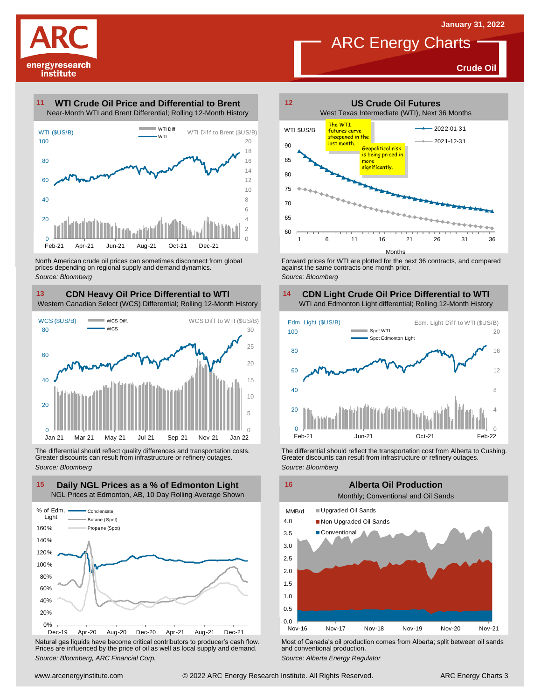**Crude Oil**



#### **WTI Crude Oil Price and Differential to Brent 11**



North American crude oil prices can sometimes disconnect from global prices depending on regional supply and demand dynamics. *Source: Bloomberg*

### **CDN Heavy Oil Price Differential to WTI 13 14**

Western Canadian Select (WCS) Differential; Rolling 12-Month History



The differential should reflect quality differences and transportation costs. Greater discounts can result from infrastructure or refinery outages. *Source: Bloomberg*



Natural gas liquids have become critical contributors to producer's cash flow. Most of Canada's oil production comes from Alberta; split between oil sands<br>Prices are influenced by the price of oil as well as local supply a



ARC Energy Charts

Forward prices for WTI are plotted for the next 36 contracts, and compared against the same contracts one month prior. *Source: Bloomberg*

### **CDN Light Crude Oil Price Differential to WTI**



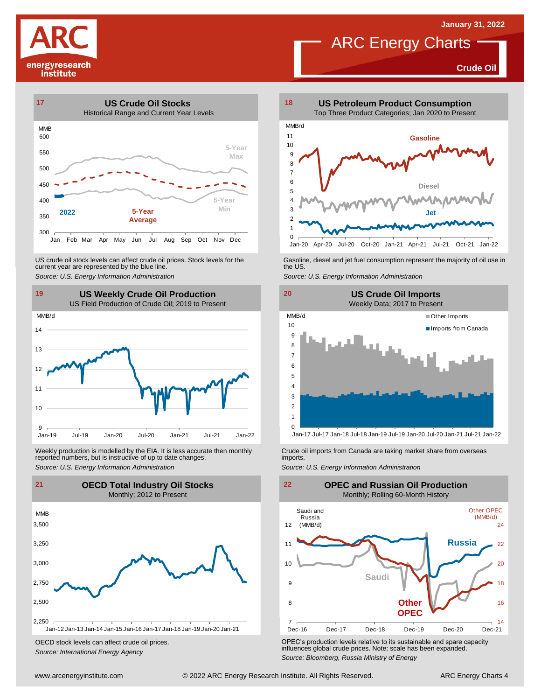**Crude Oil**

# energyresearch institute



US crude oil stock levels can affect crude oil prices. Stock levels for the current year are represented by the blue line. US crude oil stock levels can affect crude oil prices. Stock levels for the Gasoline, diesel and jet fuel consumption represent the majority of oil use in<br>current year are represented by the blue line.<br>Source: U.S. Energy



Weekly production is modelled by the EIA. It is less accurate then monthly Crude oil imports from Canada are taking market share from overseas<br>The imports in the more from overseas imports imports.<br>Source: U.S. Energy Info



OECD stock levels can affect crude oil prices. *Source: International Energy Agency*



ARC Energy Charts

 $0$ <br>Jan-20 Apr-20 1 2 Jan-20 Apr-20 Jul-20 Oct-20 Jan-21 Apr-21 Jul-21 Oct-21 Jan-22



Jan-17 Jul-17 Jan-18 Jul-18 Jan-19 Jul-19 Jan-20 Jul-20 Jan-21 Jul-21 Jan-22



OPEC's production levels relative to its sustainable and spare capacity influences global crude prices. Note: scale has been expanded. *Source: Bloomberg, Russia Ministry of Energy*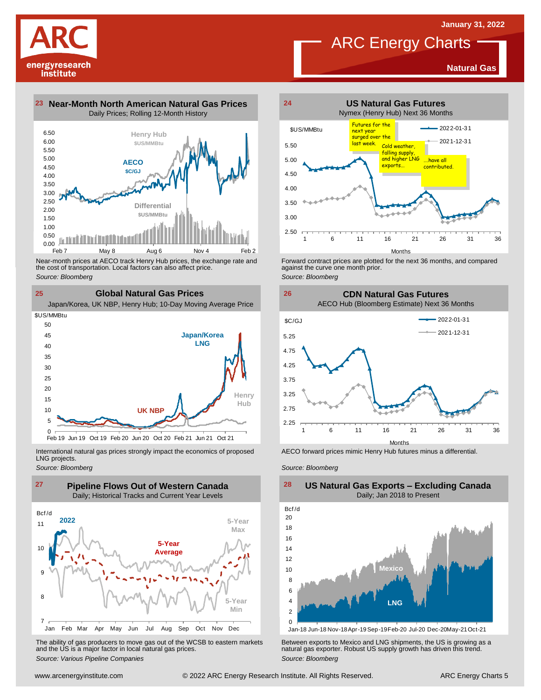**Natural Gas**



**23 Near-Month North American Natural Gas Prices 24** Daily Prices; Rolling 12-Month History



Near-month prices at AECO track Henry Hub prices, the exchange rate and<br>the cost of transportation. Local factors can also affect price.<br>Source: Bloomberg<br>**CIObal Natural Gas Prices**<br>Japan/Korea, UK NBP, Henry Hub; 10-Day the cost of transportation. Local factors can also affect price. *Source: Bloomberg*

**25 Global Natural Gas Prices**



International natural gas prices strongly impact the economics of proposed LNG projects.

*Source: Bloomberg*



The ability of gas producers to move gas out of the WCSB to eastern markets Between exports to Mexico and LNG shipments, the US is growing as a<br>and the US is a major factor in local natural gas prices.<br>Source: Bloomberg Va



ARC Energy Charts

Forward contract prices are plotted for the next <sup>36</sup> months, and compared against the curve one month prior. *Source: Bloomberg*





AECO forward prices mimic Henry Hub futures minus a differential.

*Source: Bloomberg*



**US Natural Gas Exports – Excluding Canada**

Jan-18 Jun-18 Nov-18Apr-19Sep-19Feb-20 Jul-20 Dec-20May-21Oct-21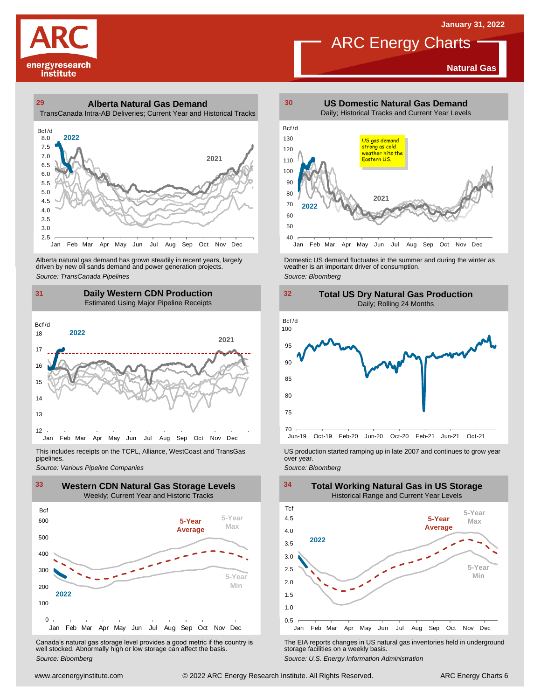**Natural Gas**



### **29 30 Alberta Natural Gas Demand**



Alberta natural gas demand has grown steadily in recent years, largely<br>
driven by new oil sands demand and power generation projects.<br>
Source: *Bloomberg*<br>
Source: *Bloomberg*<br>
Daily Western CDN Production<br>
Estimated Using Alberta natural gas demand has grown steadily in recent years, largely **Domestic US demand fluctuates in the summer** and during the winter as driven by new oil sands demand and power generation projects.<br>Ariven by new oil

### **31 32 Daily Western CDN Production** Estimated Using Major Pipeline Receipts  $\frac{31}{\text{Bcf/d}}$



This includes receipts on the TCPL, Alliance, WestCoast and TransGas pipelines.



WE Canada's natural gas storage level provides a good metric if the country is<br>
Canada's natural gas storage level provides a good metric if the country is<br>
Well stocked. Abnormally high or low storage can affect the basi Canada's natural gas storage level provides <sup>a</sup> good metric if the country is well stocked. Abnormally high or low storage can affect the basis. *Source: Bloomberg*



ARC Energy Charts





*Source: Pipelines Pipelines Pipelines Pipelines Pipelines Companies Pipeline Pipelines Pipelines Pipelines Pipelines Companies Pipeline Companies Pipeline Companies Pipeline Companies Pip* 



The EIA reports changes in US natural gas inventories held in underground storage facilities on <sup>a</sup> weekly basis.

*Source: U.S. Energy Information Administration*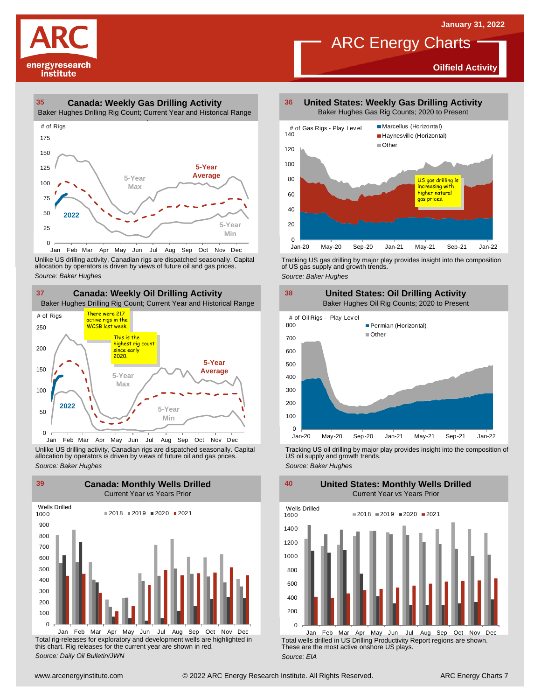**Oilfield Activity**



#### **35 36 Canada: Weekly Gas Drilling Activity**

Baker Hughes Drilling Rig Count; Current Year and Historical Range



Unlike US drilling activity, Canadian rigs are dispatched seasonally. Capital<br>allocation by operators is driven by views of future oil and gas prices. 0<br>Jan Feb Mar<br>Unlike US drilling activi<br>allocation by operators<br>Source: Baker Hughes



Unlike US drilling activity, Canadian rigs are dispatched seasonally. Capital Tracking US oil drilling by major play provides insight into the composition of<br>allocation by operators is driven by views of future oil and gas



Total rig-releases for exploratory and development wells are highlighted in this chart. Rig releases for the current year are shown in red. *Source: Daily Oil Bulletin/JWN* Jan Feb Mar Apr May Jun Jul Aug Sep Oct Nov Dec

**United States: Weekly Gas Drilling Activity** Baker Hughes Gas Rig Counts; 2020 to Present

ARC Energy Charts



Tracking US gas drilling by major play provides insight into the composition of US gas supply and growth trends. *Source: Baker Hughes*

**United States: Oil Drilling Activity** Baker Hughes Oil Rig Counts; 2020 to Present 300 400 500 600 700 800 Permian (Horizontal) ■ Other **38 United S**<br>Baker Hugh<br># of Oil Rigs - Play Level

 $\Omega$ 100 Jan-20 May-20 Sep-20 Jan-21 May-21 Sep-21 Jan-22

Tracking US oil drilling by major play provides insight into the composition of US oil supply and growth trends. *Source: Baker Hughes*



Total wells drilled in US Drilling Productivity Report regions are shown. These are the most active onshore US plays. *Source: EIA* Jan Feb Mar Apr May Jun Jul Aug Sep Oct Nov Dec

200